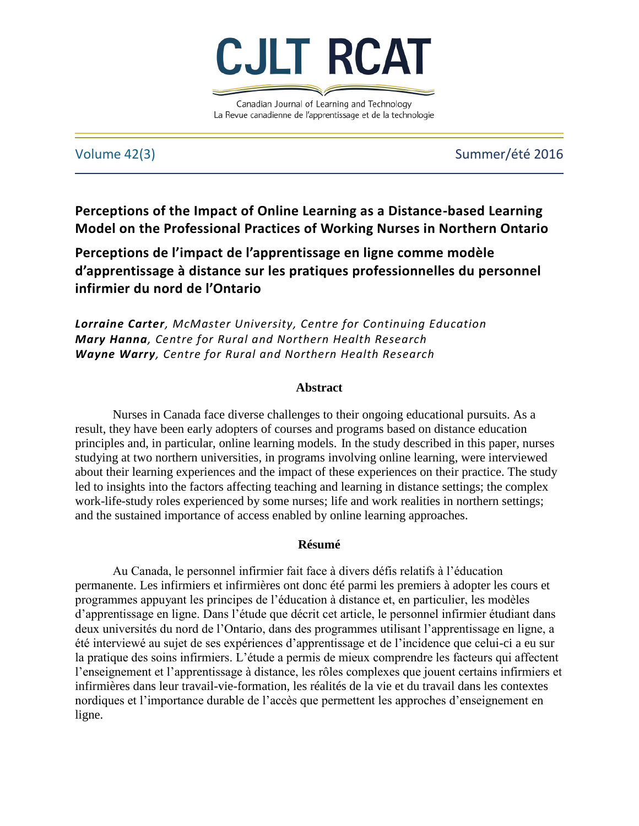

Canadian Journal of Learning and Technology La Revue canadienne de l'apprentissage et de la technologie

# Volume 42(3) Summer/été 2016

**Perceptions of the Impact of Online Learning as a Distance-based Learning Model on the Professional Practices of Working Nurses in Northern Ontario**

**Perceptions de l'impact de l'apprentissage en ligne comme modèle d'apprentissage à distance sur les pratiques professionnelles du personnel infirmier du nord de l'Ontario** 

*Lorraine Carter, McMaster University, Centre for Continuing Education Mary Hanna, Centre for Rural and Northern Health Research Wayne Warry, Centre for Rural and Northern Health Research*

# **Abstract**

Nurses in Canada face diverse challenges to their ongoing educational pursuits. As a result, they have been early adopters of courses and programs based on distance education principles and, in particular, online learning models. In the study described in this paper, nurses studying at two northern universities, in programs involving online learning, were interviewed about their learning experiences and the impact of these experiences on their practice. The study led to insights into the factors affecting teaching and learning in distance settings; the complex work-life-study roles experienced by some nurses; life and work realities in northern settings; and the sustained importance of access enabled by online learning approaches.

# **Résumé**

Au Canada, le personnel infirmier fait face à divers défis relatifs à l'éducation permanente. Les infirmiers et infirmières ont donc été parmi les premiers à adopter les cours et programmes appuyant les principes de l'éducation à distance et, en particulier, les modèles d'apprentissage en ligne. Dans l'étude que décrit cet article, le personnel infirmier étudiant dans deux universités du nord de l'Ontario, dans des programmes utilisant l'apprentissage en ligne, a été interviewé au sujet de ses expériences d'apprentissage et de l'incidence que celui-ci a eu sur la pratique des soins infirmiers. L'étude a permis de mieux comprendre les facteurs qui affectent l'enseignement et l'apprentissage à distance, les rôles complexes que jouent certains infirmiers et infirmières dans leur travail-vie-formation, les réalités de la vie et du travail dans les contextes nordiques et l'importance durable de l'accès que permettent les approches d'enseignement en ligne.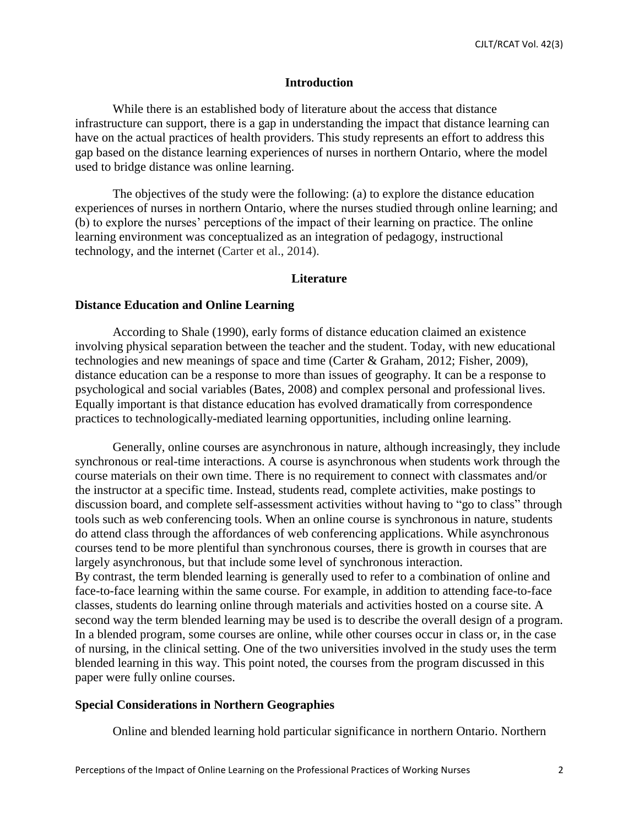#### **Introduction**

While there is an established body of literature about the access that distance infrastructure can support, there is a gap in understanding the impact that distance learning can have on the actual practices of health providers. This study represents an effort to address this gap based on the distance learning experiences of nurses in northern Ontario, where the model used to bridge distance was online learning.

The objectives of the study were the following: (a) to explore the distance education experiences of nurses in northern Ontario, where the nurses studied through online learning; and (b) to explore the nurses' perceptions of the impact of their learning on practice. The online learning environment was conceptualized as an integration of pedagogy, instructional technology, and the internet (Carter et al., 2014).

#### **Literature**

# **Distance Education and Online Learning**

According to Shale (1990), early forms of distance education claimed an existence involving physical separation between the teacher and the student. Today, with new educational technologies and new meanings of space and time (Carter & Graham, 2012; Fisher, 2009), distance education can be a response to more than issues of geography. It can be a response to psychological and social variables (Bates, 2008) and complex personal and professional lives. Equally important is that distance education has evolved dramatically from correspondence practices to technologically-mediated learning opportunities, including online learning.

Generally, online courses are asynchronous in nature, although increasingly, they include synchronous or real-time interactions. A course is asynchronous when students work through the course materials on their own time. There is no requirement to connect with classmates and/or the instructor at a specific time. Instead, students read, complete activities, make postings to discussion board, and complete self-assessment activities without having to "go to class" through tools such as web conferencing tools. When an online course is synchronous in nature, students do attend class through the affordances of web conferencing applications. While asynchronous courses tend to be more plentiful than synchronous courses, there is growth in courses that are largely asynchronous, but that include some level of synchronous interaction. By contrast, the term blended learning is generally used to refer to a combination of online and face-to-face learning within the same course. For example, in addition to attending face-to-face classes, students do learning online through materials and activities hosted on a course site. A second way the term blended learning may be used is to describe the overall design of a program. In a blended program, some courses are online, while other courses occur in class or, in the case of nursing, in the clinical setting. One of the two universities involved in the study uses the term blended learning in this way. This point noted, the courses from the program discussed in this paper were fully online courses.

#### **Special Considerations in Northern Geographies**

Online and blended learning hold particular significance in northern Ontario. Northern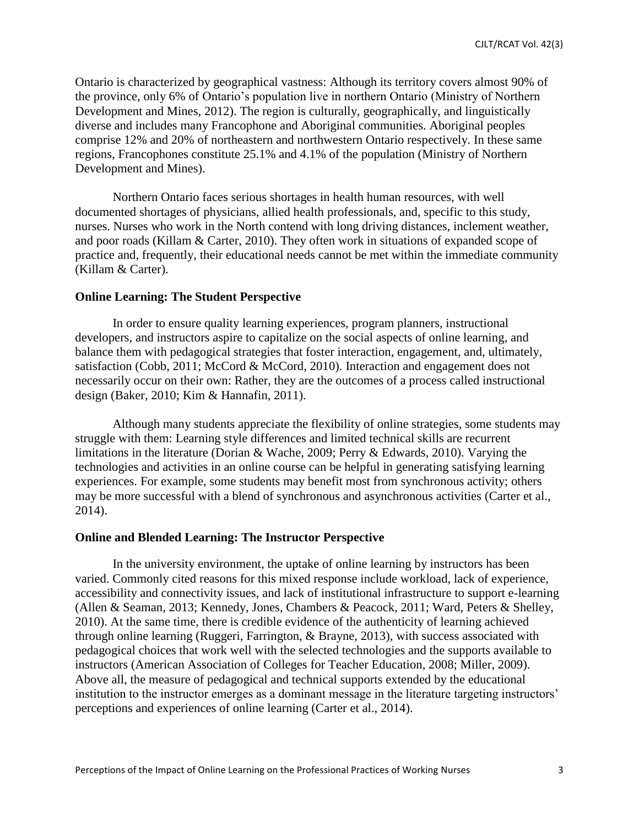Ontario is characterized by geographical vastness: Although its territory covers almost 90% of the province, only 6% of Ontario's population live in northern Ontario (Ministry of Northern Development and Mines, 2012). The region is culturally, geographically, and linguistically diverse and includes many Francophone and Aboriginal communities. Aboriginal peoples comprise 12% and 20% of northeastern and northwestern Ontario respectively. In these same regions, Francophones constitute 25.1% and 4.1% of the population (Ministry of Northern Development and Mines).

Northern Ontario faces serious shortages in health human resources, with well documented shortages of physicians, allied health professionals, and, specific to this study, nurses. Nurses who work in the North contend with long driving distances, inclement weather, and poor roads (Killam & Carter, 2010). They often work in situations of expanded scope of practice and, frequently, their educational needs cannot be met within the immediate community (Killam & Carter).

## **Online Learning: The Student Perspective**

In order to ensure quality learning experiences, program planners, instructional developers, and instructors aspire to capitalize on the social aspects of online learning, and balance them with pedagogical strategies that foster interaction, engagement, and, ultimately, satisfaction (Cobb, 2011; McCord & McCord, 2010). Interaction and engagement does not necessarily occur on their own: Rather, they are the outcomes of a process called instructional design (Baker, 2010; Kim & Hannafin, 2011).

Although many students appreciate the flexibility of online strategies, some students may struggle with them: Learning style differences and limited technical skills are recurrent limitations in the literature (Dorian & Wache, 2009; Perry & Edwards, 2010). Varying the technologies and activities in an online course can be helpful in generating satisfying learning experiences. For example, some students may benefit most from synchronous activity; others may be more successful with a blend of synchronous and asynchronous activities (Carter et al., 2014).

## **Online and Blended Learning: The Instructor Perspective**

In the university environment, the uptake of online learning by instructors has been varied. Commonly cited reasons for this mixed response include workload, lack of experience, accessibility and connectivity issues, and lack of institutional infrastructure to support e-learning (Allen & Seaman, 2013; Kennedy, Jones, Chambers & Peacock, 2011; Ward, Peters & Shelley, 2010). At the same time, there is credible evidence of the authenticity of learning achieved through online learning (Ruggeri, Farrington, & Brayne, 2013), with success associated with pedagogical choices that work well with the selected technologies and the supports available to instructors (American Association of Colleges for Teacher Education, 2008; Miller, 2009). Above all, the measure of pedagogical and technical supports extended by the educational institution to the instructor emerges as a dominant message in the literature targeting instructors' perceptions and experiences of online learning (Carter et al., 2014).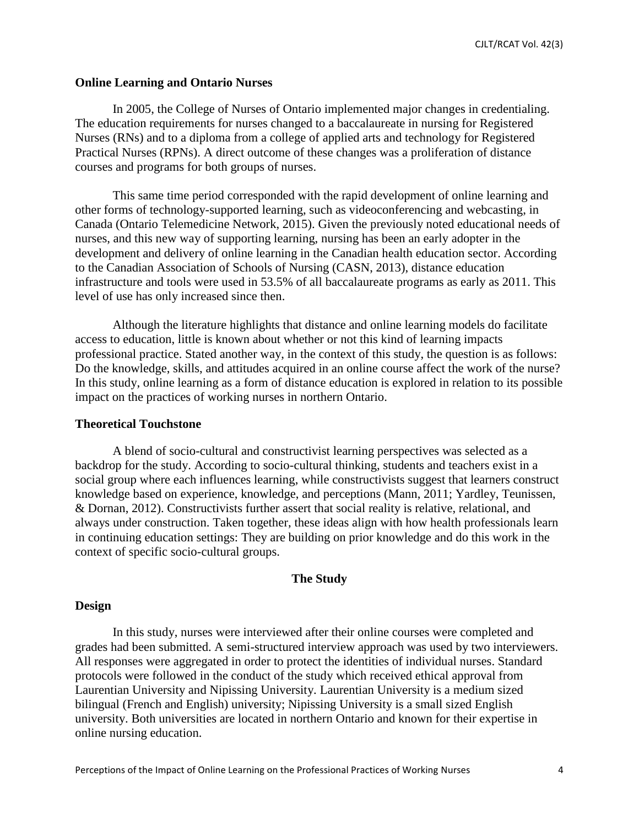# **Online Learning and Ontario Nurses**

In 2005, the College of Nurses of Ontario implemented major changes in credentialing. The education requirements for nurses changed to a baccalaureate in nursing for Registered Nurses (RNs) and to a diploma from a college of applied arts and technology for Registered Practical Nurses (RPNs). A direct outcome of these changes was a proliferation of distance courses and programs for both groups of nurses.

This same time period corresponded with the rapid development of online learning and other forms of technology-supported learning, such as videoconferencing and webcasting, in Canada (Ontario Telemedicine Network, 2015). Given the previously noted educational needs of nurses, and this new way of supporting learning, nursing has been an early adopter in the development and delivery of online learning in the Canadian health education sector. According to the Canadian Association of Schools of Nursing (CASN, 2013), distance education infrastructure and tools were used in 53.5% of all baccalaureate programs as early as 2011. This level of use has only increased since then.

Although the literature highlights that distance and online learning models do facilitate access to education, little is known about whether or not this kind of learning impacts professional practice. Stated another way, in the context of this study, the question is as follows: Do the knowledge, skills, and attitudes acquired in an online course affect the work of the nurse? In this study, online learning as a form of distance education is explored in relation to its possible impact on the practices of working nurses in northern Ontario.

#### **Theoretical Touchstone**

A blend of socio-cultural and constructivist learning perspectives was selected as a backdrop for the study. According to socio-cultural thinking, students and teachers exist in a social group where each influences learning, while constructivists suggest that learners construct knowledge based on experience, knowledge, and perceptions (Mann, 2011; Yardley, Teunissen, & Dornan, 2012). Constructivists further assert that social reality is relative, relational, and always under construction. Taken together, these ideas align with how health professionals learn in continuing education settings: They are building on prior knowledge and do this work in the context of specific socio-cultural groups.

#### **The Study**

# **Design**

In this study, nurses were interviewed after their online courses were completed and grades had been submitted. A semi-structured interview approach was used by two interviewers. All responses were aggregated in order to protect the identities of individual nurses. Standard protocols were followed in the conduct of the study which received ethical approval from Laurentian University and Nipissing University. Laurentian University is a medium sized bilingual (French and English) university; Nipissing University is a small sized English university. Both universities are located in northern Ontario and known for their expertise in online nursing education.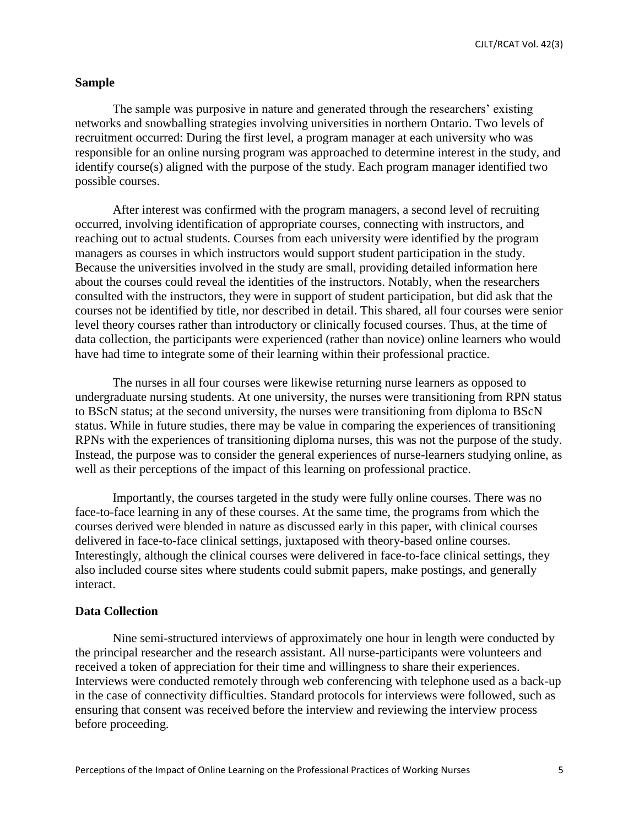CJLT/RCAT Vol. 42(3)

# **Sample**

The sample was purposive in nature and generated through the researchers' existing networks and snowballing strategies involving universities in northern Ontario. Two levels of recruitment occurred: During the first level, a program manager at each university who was responsible for an online nursing program was approached to determine interest in the study, and identify course(s) aligned with the purpose of the study. Each program manager identified two possible courses.

After interest was confirmed with the program managers, a second level of recruiting occurred, involving identification of appropriate courses, connecting with instructors, and reaching out to actual students. Courses from each university were identified by the program managers as courses in which instructors would support student participation in the study. Because the universities involved in the study are small, providing detailed information here about the courses could reveal the identities of the instructors. Notably, when the researchers consulted with the instructors, they were in support of student participation, but did ask that the courses not be identified by title, nor described in detail. This shared, all four courses were senior level theory courses rather than introductory or clinically focused courses. Thus, at the time of data collection, the participants were experienced (rather than novice) online learners who would have had time to integrate some of their learning within their professional practice.

The nurses in all four courses were likewise returning nurse learners as opposed to undergraduate nursing students. At one university, the nurses were transitioning from RPN status to BScN status; at the second university, the nurses were transitioning from diploma to BScN status. While in future studies, there may be value in comparing the experiences of transitioning RPNs with the experiences of transitioning diploma nurses, this was not the purpose of the study. Instead, the purpose was to consider the general experiences of nurse-learners studying online, as well as their perceptions of the impact of this learning on professional practice.

Importantly, the courses targeted in the study were fully online courses. There was no face-to-face learning in any of these courses. At the same time, the programs from which the courses derived were blended in nature as discussed early in this paper, with clinical courses delivered in face-to-face clinical settings, juxtaposed with theory-based online courses. Interestingly, although the clinical courses were delivered in face-to-face clinical settings, they also included course sites where students could submit papers, make postings, and generally interact.

## **Data Collection**

Nine semi-structured interviews of approximately one hour in length were conducted by the principal researcher and the research assistant. All nurse-participants were volunteers and received a token of appreciation for their time and willingness to share their experiences. Interviews were conducted remotely through web conferencing with telephone used as a back-up in the case of connectivity difficulties. Standard protocols for interviews were followed, such as ensuring that consent was received before the interview and reviewing the interview process before proceeding.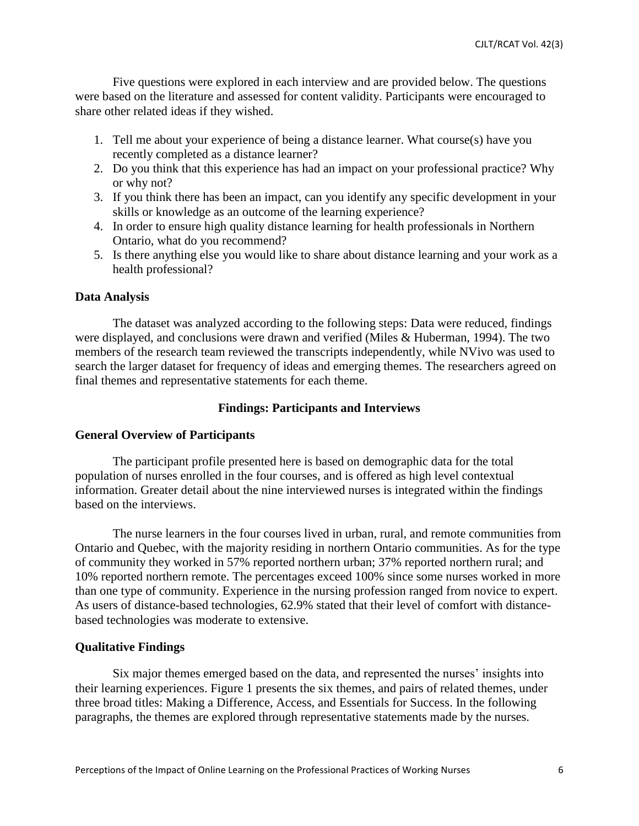Five questions were explored in each interview and are provided below. The questions were based on the literature and assessed for content validity. Participants were encouraged to share other related ideas if they wished.

- 1. Tell me about your experience of being a distance learner. What course(s) have you recently completed as a distance learner?
- 2. Do you think that this experience has had an impact on your professional practice? Why or why not?
- 3. If you think there has been an impact, can you identify any specific development in your skills or knowledge as an outcome of the learning experience?
- 4. In order to ensure high quality distance learning for health professionals in Northern Ontario, what do you recommend?
- 5. Is there anything else you would like to share about distance learning and your work as a health professional?

## **Data Analysis**

The dataset was analyzed according to the following steps: Data were reduced, findings were displayed, and conclusions were drawn and verified (Miles & Huberman, 1994). The two members of the research team reviewed the transcripts independently, while NVivo was used to search the larger dataset for frequency of ideas and emerging themes. The researchers agreed on final themes and representative statements for each theme.

## **Findings: Participants and Interviews**

#### **General Overview of Participants**

The participant profile presented here is based on demographic data for the total population of nurses enrolled in the four courses, and is offered as high level contextual information. Greater detail about the nine interviewed nurses is integrated within the findings based on the interviews.

The nurse learners in the four courses lived in urban, rural, and remote communities from Ontario and Quebec, with the majority residing in northern Ontario communities. As for the type of community they worked in 57% reported northern urban; 37% reported northern rural; and 10% reported northern remote. The percentages exceed 100% since some nurses worked in more than one type of community. Experience in the nursing profession ranged from novice to expert. As users of distance-based technologies, 62.9% stated that their level of comfort with distancebased technologies was moderate to extensive.

#### **Qualitative Findings**

Six major themes emerged based on the data, and represented the nurses' insights into their learning experiences. Figure 1 presents the six themes, and pairs of related themes, under three broad titles: Making a Difference, Access, and Essentials for Success. In the following paragraphs, the themes are explored through representative statements made by the nurses.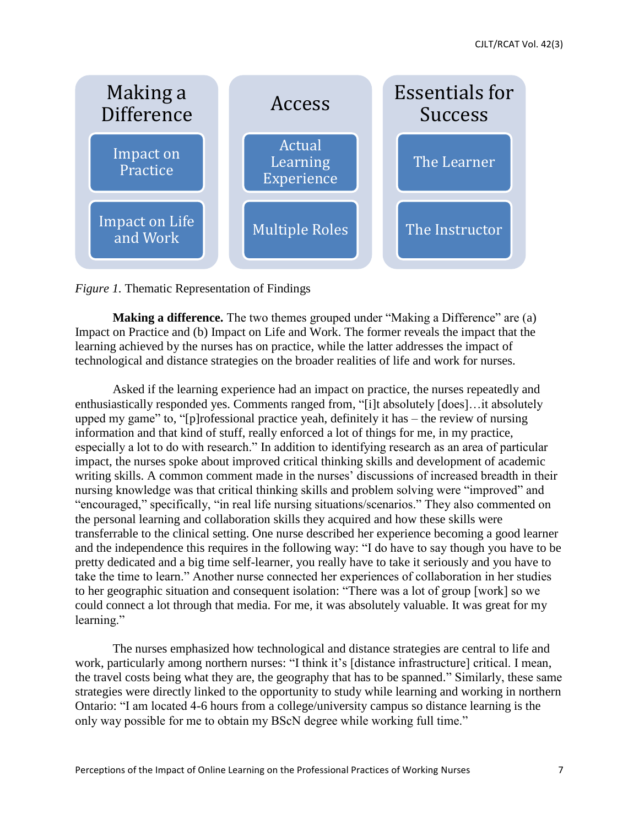

*Figure 1.* Thematic Representation of Findings

**Making a difference.** The two themes grouped under "Making a Difference" are (a) Impact on Practice and (b) Impact on Life and Work. The former reveals the impact that the learning achieved by the nurses has on practice, while the latter addresses the impact of technological and distance strategies on the broader realities of life and work for nurses.

Asked if the learning experience had an impact on practice, the nurses repeatedly and enthusiastically responded yes. Comments ranged from, "[i]t absolutely [does]…it absolutely upped my game" to, "[p]rofessional practice yeah, definitely it has – the review of nursing information and that kind of stuff, really enforced a lot of things for me, in my practice, especially a lot to do with research." In addition to identifying research as an area of particular impact, the nurses spoke about improved critical thinking skills and development of academic writing skills. A common comment made in the nurses' discussions of increased breadth in their nursing knowledge was that critical thinking skills and problem solving were "improved" and "encouraged," specifically, "in real life nursing situations/scenarios." They also commented on the personal learning and collaboration skills they acquired and how these skills were transferrable to the clinical setting. One nurse described her experience becoming a good learner and the independence this requires in the following way: "I do have to say though you have to be pretty dedicated and a big time self-learner, you really have to take it seriously and you have to take the time to learn." Another nurse connected her experiences of collaboration in her studies to her geographic situation and consequent isolation: "There was a lot of group [work] so we could connect a lot through that media. For me, it was absolutely valuable. It was great for my learning."

The nurses emphasized how technological and distance strategies are central to life and work, particularly among northern nurses: "I think it's [distance infrastructure] critical. I mean, the travel costs being what they are, the geography that has to be spanned." Similarly, these same strategies were directly linked to the opportunity to study while learning and working in northern Ontario: "I am located 4-6 hours from a college/university campus so distance learning is the only way possible for me to obtain my BScN degree while working full time."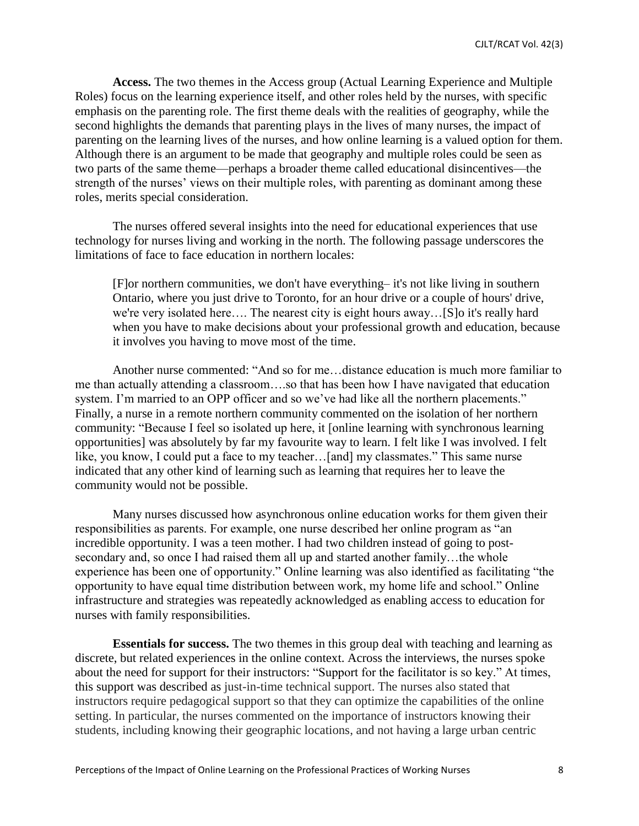**Access.** The two themes in the Access group (Actual Learning Experience and Multiple Roles) focus on the learning experience itself, and other roles held by the nurses, with specific emphasis on the parenting role. The first theme deals with the realities of geography, while the second highlights the demands that parenting plays in the lives of many nurses, the impact of parenting on the learning lives of the nurses, and how online learning is a valued option for them. Although there is an argument to be made that geography and multiple roles could be seen as two parts of the same theme—perhaps a broader theme called educational disincentives—the strength of the nurses' views on their multiple roles, with parenting as dominant among these roles, merits special consideration.

The nurses offered several insights into the need for educational experiences that use technology for nurses living and working in the north. The following passage underscores the limitations of face to face education in northern locales:

[F]or northern communities, we don't have everything– it's not like living in southern Ontario, where you just drive to Toronto, for an hour drive or a couple of hours' drive, we're very isolated here…. The nearest city is eight hours away…[S]o it's really hard when you have to make decisions about your professional growth and education, because it involves you having to move most of the time.

Another nurse commented: "And so for me…distance education is much more familiar to me than actually attending a classroom….so that has been how I have navigated that education system. I'm married to an OPP officer and so we've had like all the northern placements." Finally, a nurse in a remote northern community commented on the isolation of her northern community: "Because I feel so isolated up here, it [online learning with synchronous learning opportunities] was absolutely by far my favourite way to learn. I felt like I was involved. I felt like, you know, I could put a face to my teacher...[and] my classmates." This same nurse indicated that any other kind of learning such as learning that requires her to leave the community would not be possible.

Many nurses discussed how asynchronous online education works for them given their responsibilities as parents. For example, one nurse described her online program as "an incredible opportunity. I was a teen mother. I had two children instead of going to postsecondary and, so once I had raised them all up and started another family...the whole experience has been one of opportunity." Online learning was also identified as facilitating "the opportunity to have equal time distribution between work, my home life and school." Online infrastructure and strategies was repeatedly acknowledged as enabling access to education for nurses with family responsibilities.

**Essentials for success.** The two themes in this group deal with teaching and learning as discrete, but related experiences in the online context. Across the interviews, the nurses spoke about the need for support for their instructors: "Support for the facilitator is so key." At times, this support was described as just-in-time technical support. The nurses also stated that instructors require pedagogical support so that they can optimize the capabilities of the online setting. In particular, the nurses commented on the importance of instructors knowing their students, including knowing their geographic locations, and not having a large urban centric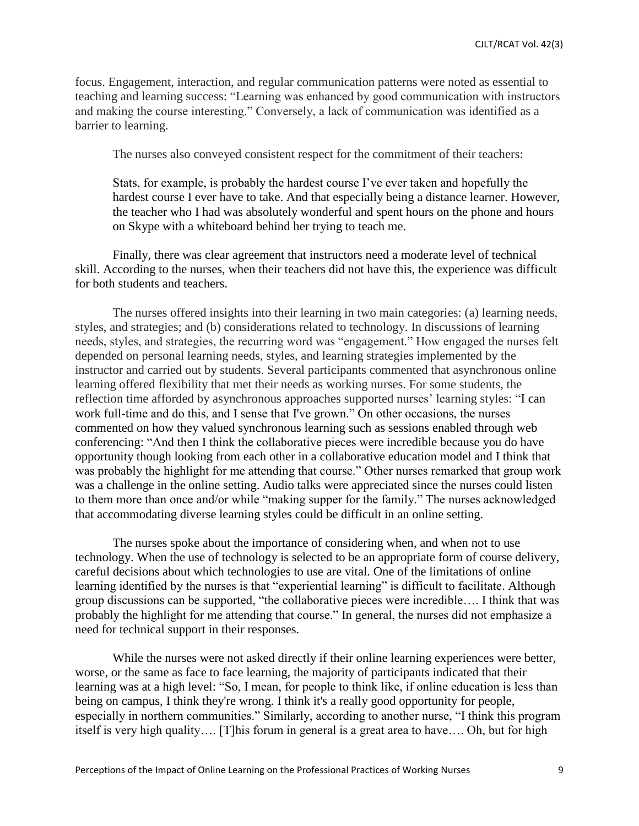focus. Engagement, interaction, and regular communication patterns were noted as essential to teaching and learning success: "Learning was enhanced by good communication with instructors and making the course interesting." Conversely, a lack of communication was identified as a barrier to learning.

The nurses also conveyed consistent respect for the commitment of their teachers:

Stats, for example, is probably the hardest course I've ever taken and hopefully the hardest course I ever have to take. And that especially being a distance learner. However, the teacher who I had was absolutely wonderful and spent hours on the phone and hours on Skype with a whiteboard behind her trying to teach me.

Finally, there was clear agreement that instructors need a moderate level of technical skill. According to the nurses, when their teachers did not have this, the experience was difficult for both students and teachers.

The nurses offered insights into their learning in two main categories: (a) learning needs, styles, and strategies; and (b) considerations related to technology. In discussions of learning needs, styles, and strategies, the recurring word was "engagement." How engaged the nurses felt depended on personal learning needs, styles, and learning strategies implemented by the instructor and carried out by students. Several participants commented that asynchronous online learning offered flexibility that met their needs as working nurses. For some students, the reflection time afforded by asynchronous approaches supported nurses' learning styles: "I can work full-time and do this, and I sense that I've grown." On other occasions, the nurses commented on how they valued synchronous learning such as sessions enabled through web conferencing: "And then I think the collaborative pieces were incredible because you do have opportunity though looking from each other in a collaborative education model and I think that was probably the highlight for me attending that course." Other nurses remarked that group work was a challenge in the online setting. Audio talks were appreciated since the nurses could listen to them more than once and/or while "making supper for the family." The nurses acknowledged that accommodating diverse learning styles could be difficult in an online setting.

The nurses spoke about the importance of considering when, and when not to use technology. When the use of technology is selected to be an appropriate form of course delivery, careful decisions about which technologies to use are vital. One of the limitations of online learning identified by the nurses is that "experiential learning" is difficult to facilitate. Although group discussions can be supported, "the collaborative pieces were incredible…. I think that was probably the highlight for me attending that course." In general, the nurses did not emphasize a need for technical support in their responses.

While the nurses were not asked directly if their online learning experiences were better, worse, or the same as face to face learning, the majority of participants indicated that their learning was at a high level: "So, I mean, for people to think like, if online education is less than being on campus, I think they're wrong. I think it's a really good opportunity for people, especially in northern communities." Similarly, according to another nurse, "I think this program itself is very high quality…. [T]his forum in general is a great area to have…. Oh, but for high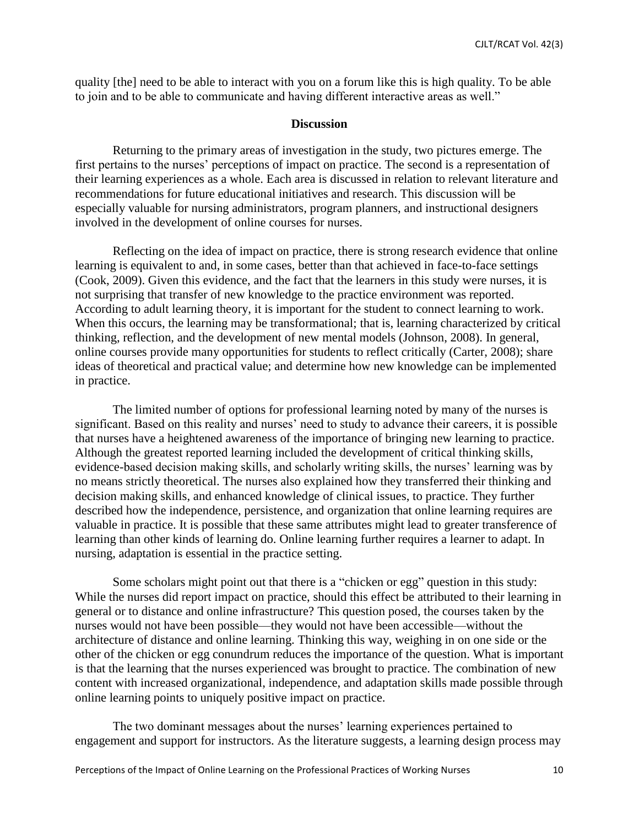quality [the] need to be able to interact with you on a forum like this is high quality. To be able to join and to be able to communicate and having different interactive areas as well."

#### **Discussion**

Returning to the primary areas of investigation in the study, two pictures emerge. The first pertains to the nurses' perceptions of impact on practice. The second is a representation of their learning experiences as a whole. Each area is discussed in relation to relevant literature and recommendations for future educational initiatives and research. This discussion will be especially valuable for nursing administrators, program planners, and instructional designers involved in the development of online courses for nurses.

Reflecting on the idea of impact on practice, there is strong research evidence that online learning is equivalent to and, in some cases, better than that achieved in face-to-face settings (Cook, 2009). Given this evidence, and the fact that the learners in this study were nurses, it is not surprising that transfer of new knowledge to the practice environment was reported. According to adult learning theory, it is important for the student to connect learning to work. When this occurs, the learning may be transformational; that is, learning characterized by critical thinking, reflection, and the development of new mental models (Johnson, 2008). In general, online courses provide many opportunities for students to reflect critically (Carter, 2008); share ideas of theoretical and practical value; and determine how new knowledge can be implemented in practice.

The limited number of options for professional learning noted by many of the nurses is significant. Based on this reality and nurses' need to study to advance their careers, it is possible that nurses have a heightened awareness of the importance of bringing new learning to practice. Although the greatest reported learning included the development of critical thinking skills, evidence-based decision making skills, and scholarly writing skills, the nurses' learning was by no means strictly theoretical. The nurses also explained how they transferred their thinking and decision making skills, and enhanced knowledge of clinical issues, to practice. They further described how the independence, persistence, and organization that online learning requires are valuable in practice. It is possible that these same attributes might lead to greater transference of learning than other kinds of learning do. Online learning further requires a learner to adapt. In nursing, adaptation is essential in the practice setting.

Some scholars might point out that there is a "chicken or egg" question in this study: While the nurses did report impact on practice, should this effect be attributed to their learning in general or to distance and online infrastructure? This question posed, the courses taken by the nurses would not have been possible—they would not have been accessible—without the architecture of distance and online learning. Thinking this way, weighing in on one side or the other of the chicken or egg conundrum reduces the importance of the question. What is important is that the learning that the nurses experienced was brought to practice. The combination of new content with increased organizational, independence, and adaptation skills made possible through online learning points to uniquely positive impact on practice.

The two dominant messages about the nurses' learning experiences pertained to engagement and support for instructors. As the literature suggests, a learning design process may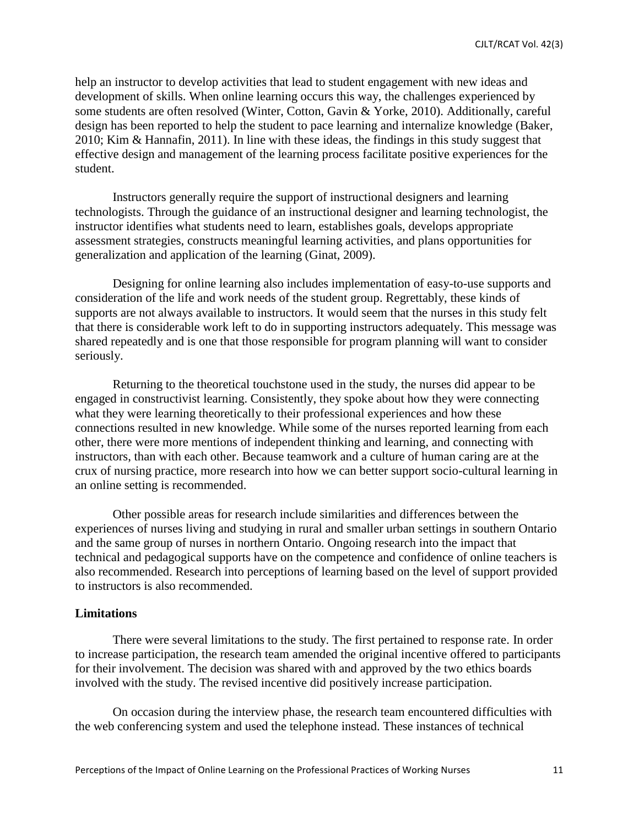help an instructor to develop activities that lead to student engagement with new ideas and development of skills. When online learning occurs this way, the challenges experienced by some students are often resolved (Winter, Cotton, Gavin & Yorke, 2010). Additionally, careful design has been reported to help the student to pace learning and internalize knowledge (Baker, 2010; Kim & Hannafin, 2011). In line with these ideas, the findings in this study suggest that effective design and management of the learning process facilitate positive experiences for the student.

Instructors generally require the support of instructional designers and learning technologists. Through the guidance of an instructional designer and learning technologist, the instructor identifies what students need to learn, establishes goals, develops appropriate assessment strategies, constructs meaningful learning activities, and plans opportunities for generalization and application of the learning (Ginat, 2009).

Designing for online learning also includes implementation of easy-to-use supports and consideration of the life and work needs of the student group. Regrettably, these kinds of supports are not always available to instructors. It would seem that the nurses in this study felt that there is considerable work left to do in supporting instructors adequately. This message was shared repeatedly and is one that those responsible for program planning will want to consider seriously.

Returning to the theoretical touchstone used in the study, the nurses did appear to be engaged in constructivist learning. Consistently, they spoke about how they were connecting what they were learning theoretically to their professional experiences and how these connections resulted in new knowledge. While some of the nurses reported learning from each other, there were more mentions of independent thinking and learning, and connecting with instructors, than with each other. Because teamwork and a culture of human caring are at the crux of nursing practice, more research into how we can better support socio-cultural learning in an online setting is recommended.

Other possible areas for research include similarities and differences between the experiences of nurses living and studying in rural and smaller urban settings in southern Ontario and the same group of nurses in northern Ontario. Ongoing research into the impact that technical and pedagogical supports have on the competence and confidence of online teachers is also recommended. Research into perceptions of learning based on the level of support provided to instructors is also recommended.

## **Limitations**

There were several limitations to the study. The first pertained to response rate. In order to increase participation, the research team amended the original incentive offered to participants for their involvement. The decision was shared with and approved by the two ethics boards involved with the study. The revised incentive did positively increase participation.

On occasion during the interview phase, the research team encountered difficulties with the web conferencing system and used the telephone instead. These instances of technical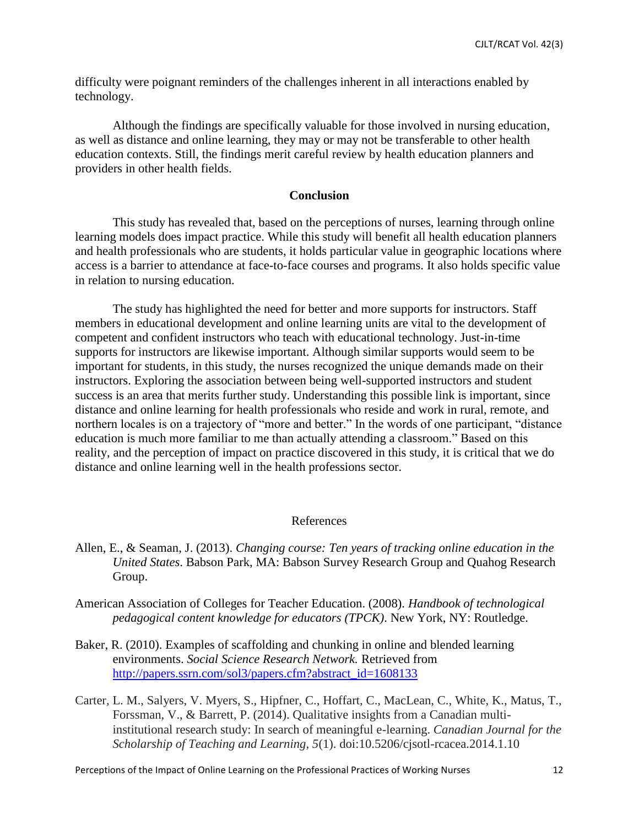difficulty were poignant reminders of the challenges inherent in all interactions enabled by technology.

Although the findings are specifically valuable for those involved in nursing education, as well as distance and online learning, they may or may not be transferable to other health education contexts. Still, the findings merit careful review by health education planners and providers in other health fields.

#### **Conclusion**

This study has revealed that, based on the perceptions of nurses, learning through online learning models does impact practice. While this study will benefit all health education planners and health professionals who are students, it holds particular value in geographic locations where access is a barrier to attendance at face-to-face courses and programs. It also holds specific value in relation to nursing education.

The study has highlighted the need for better and more supports for instructors. Staff members in educational development and online learning units are vital to the development of competent and confident instructors who teach with educational technology. Just-in-time supports for instructors are likewise important. Although similar supports would seem to be important for students, in this study, the nurses recognized the unique demands made on their instructors. Exploring the association between being well-supported instructors and student success is an area that merits further study. Understanding this possible link is important, since distance and online learning for health professionals who reside and work in rural, remote, and northern locales is on a trajectory of "more and better." In the words of one participant, "distance education is much more familiar to me than actually attending a classroom." Based on this reality, and the perception of impact on practice discovered in this study, it is critical that we do distance and online learning well in the health professions sector.

### References

- Allen, E., & Seaman, J. (2013). *Changing course: Ten years of tracking online education in the United States*. Babson Park, MA: Babson Survey Research Group and Quahog Research Group.
- American Association of Colleges for Teacher Education. (2008). *Handbook of technological pedagogical content knowledge for educators (TPCK)*. New York, NY: Routledge.
- Baker, R. (2010). Examples of scaffolding and chunking in online and blended learning environments. *Social Science Research Network.* Retrieved from [http://papers.ssrn.com/sol3/papers.cfm?abstract\\_id=1608133](http://papers.ssrn.com/sol3/papers.cfm?abstract_id=1608133)
- Carter, L. M., Salyers, V. Myers, S., Hipfner, C., Hoffart, C., MacLean, C., White, K., Matus, T., Forssman, V., & Barrett, P. (2014). Qualitative insights from a Canadian multiinstitutional research study: In search of meaningful e-learning. *Canadian Journal for the Scholarship of Teaching and Learning, 5*(1). doi:10.5206/cjsotl-rcacea.2014.1.10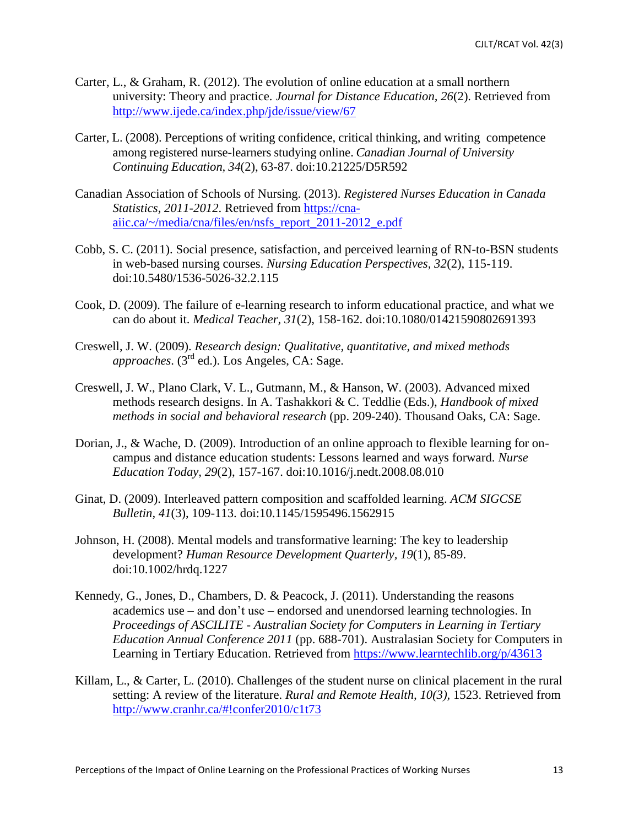- Carter, L., & Graham, R. (2012). The evolution of online education at a small northern university: Theory and practice. *Journal for Distance Education, 26*(2). Retrieved from <http://www.ijede.ca/index.php/jde/issue/view/67>
- Carter, L. (2008). Perceptions of writing confidence, critical thinking, and writing competence among registered nurse-learners studying online. *Canadian Journal of University Continuing Education, 34*(2), 63-87. doi:10.21225/D5R592
- Canadian Association of Schools of Nursing. (2013). *Registered Nurses Education in Canada Statistics, 2011-2012*. Retrieved from [https://cna](https://cna-aiic.ca/~/media/cna/files/en/nsfs_report_2011-2012_e.pdf)[aiic.ca/~/media/cna/files/en/nsfs\\_report\\_2011-2012\\_e.pdf](https://cna-aiic.ca/~/media/cna/files/en/nsfs_report_2011-2012_e.pdf)
- Cobb, S. C. (2011). Social presence, satisfaction, and perceived learning of RN-to-BSN students in web-based nursing courses. *Nursing Education Perspectives, 32*(2), 115-119. doi:10.5480/1536-5026-32.2.115
- Cook, D. (2009). The failure of e-learning research to inform educational practice, and what we can do about it. *Medical Teacher, 31*(2), 158-162. doi:10.1080/01421590802691393
- Creswell, J. W. (2009). *Research design: Qualitative, quantitative, and mixed methods approaches*. (3rd ed.). Los Angeles, CA: Sage.
- Creswell, J. W., Plano Clark, V. L., Gutmann, M., & Hanson, W. (2003). Advanced mixed methods research designs. In A. Tashakkori & C. Teddlie (Eds.), *Handbook of mixed methods in social and behavioral research* (pp. 209-240). Thousand Oaks, CA: Sage.
- Dorian, J., & Wache, D. (2009). Introduction of an online approach to flexible learning for oncampus and distance education students: Lessons learned and ways forward. *Nurse Education Today, 29*(2), 157-167. doi:10.1016/j.nedt.2008.08.010
- Ginat, D. (2009). Interleaved pattern composition and scaffolded learning. *ACM SIGCSE Bulletin, 41*(3), 109-113. doi:10.1145/1595496.1562915
- Johnson, H. (2008). Mental models and transformative learning: The key to leadership development? *Human Resource Development Quarterly, 19*(1), 85-89. doi:10.1002/hrdq.1227
- Kennedy, G., Jones, D., Chambers, D. & Peacock, J. (2011). Understanding the reasons academics use – and don't use – endorsed and unendorsed learning technologies. In *Proceedings of ASCILITE - Australian Society for Computers in Learning in Tertiary Education Annual Conference 2011* (pp. 688-701). Australasian Society for Computers in Learning in Tertiary Education. Retrieved from<https://www.learntechlib.org/p/43613>
- Killam, L., & Carter, L. (2010). Challenges of the student nurse on clinical placement in the rural setting: A review of the literature. *Rural and Remote Health, 10(3),* 1523. Retrieved from <http://www.cranhr.ca/#!confer2010/c1t73>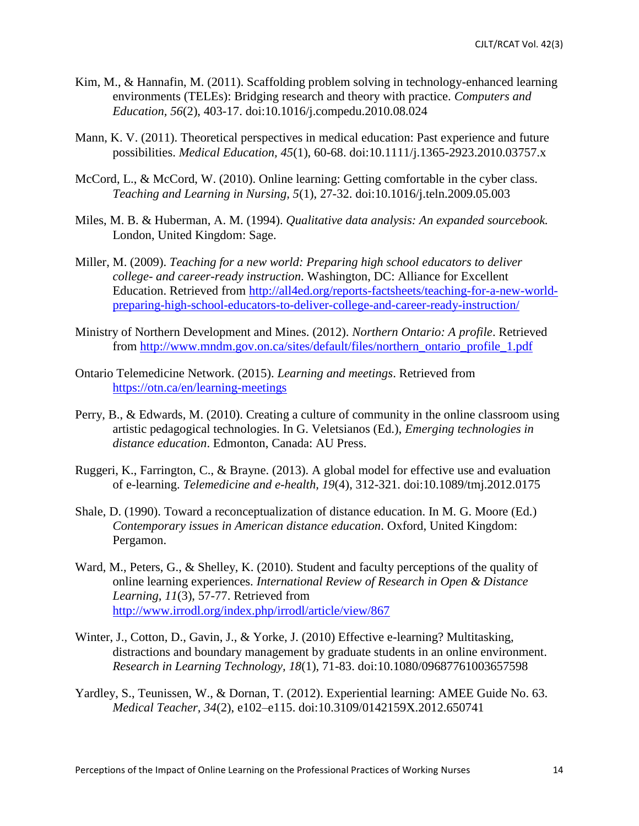- Kim, M., & Hannafin, M. (2011). Scaffolding problem solving in technology-enhanced learning environments (TELEs): Bridging research and theory with practice. *Computers and Education, 56*(2), 403-17. doi:10.1016/j.compedu.2010.08.024
- Mann, K. V. (2011). Theoretical perspectives in medical education: Past experience and future possibilities. *Medical Education, 45*(1), 60-68. doi:10.1111/j.1365-2923.2010.03757.x
- McCord, L., & McCord, W. (2010). Online learning: Getting comfortable in the cyber class. *Teaching and Learning in Nursing, 5*(1), 27-32. doi:10.1016/j.teln.2009.05.003
- Miles, M. B. & Huberman, A. M. (1994). *Qualitative data analysis: An expanded sourcebook.*  London, United Kingdom: Sage.
- Miller, M. (2009). *Teaching for a new world: Preparing high school educators to deliver college- and career-ready instruction*. Washington, DC: Alliance for Excellent Education. Retrieved from [http://all4ed.org/reports-factsheets/teaching-for-a-new-world](http://all4ed.org/reports-factsheets/teaching-for-a-new-world-preparing-high-school-educators-to-deliver-college-and-career-ready-instruction/)[preparing-high-school-educators-to-deliver-college-and-career-ready-instruction/](http://all4ed.org/reports-factsheets/teaching-for-a-new-world-preparing-high-school-educators-to-deliver-college-and-career-ready-instruction/)
- Ministry of Northern Development and Mines. (2012). *Northern Ontario: A profile*. Retrieved from [http://www.mndm.gov.on.ca/sites/default/files/northern\\_ontario\\_profile\\_1.pdf](http://www.mndm.gov.on.ca/sites/default/files/northern_ontario_profile_1.pdf)
- Ontario Telemedicine Network. (2015). *Learning and meetings*. Retrieved from <https://otn.ca/en/learning-meetings>
- Perry, B., & Edwards, M. (2010). Creating a culture of community in the online classroom using artistic pedagogical technologies. In G. Veletsianos (Ed.), *Emerging technologies in distance education*. Edmonton, Canada: AU Press.
- Ruggeri, K., Farrington, C., & Brayne. (2013). A global model for effective use and evaluation of e-learning. *Telemedicine and e-health, 19*(4), 312-321. doi:10.1089/tmj.2012.0175
- Shale, D. (1990). Toward a reconceptualization of distance education. In M. G. Moore (Ed.) *Contemporary issues in American distance education*. Oxford, United Kingdom: Pergamon.
- Ward, M., Peters, G., & Shelley, K. (2010). Student and faculty perceptions of the quality of online learning experiences. *International Review of Research in Open & Distance Learning, 11*(3), 57-77. Retrieved from <http://www.irrodl.org/index.php/irrodl/article/view/867>
- Winter, J., Cotton, D., Gavin, J., & Yorke, J. (2010) Effective e-learning? Multitasking, distractions and boundary management by graduate students in an online environment. *Research in Learning Technology, 18*(1), 71-83. doi:10.1080/09687761003657598
- Yardley, S., Teunissen, W., & Dornan, T. (2012). Experiential learning: AMEE Guide No. 63. *Medical Teacher, 34*(2), e102–e115. doi:10.3109/0142159X.2012.650741